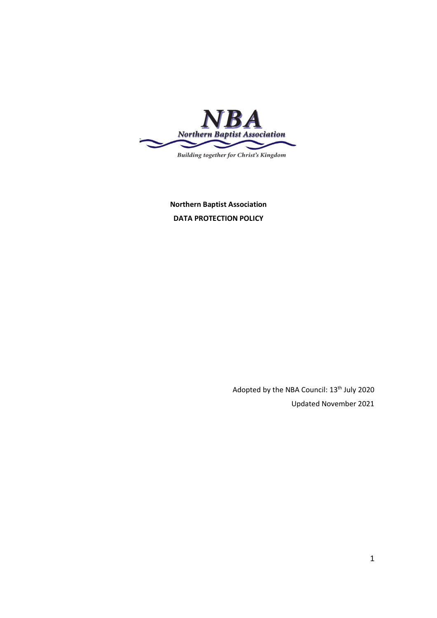

**Northern Baptist Association DATA PROTECTION POLICY**

> Adopted by the NBA Council: 13th July 2020 Updated November 2021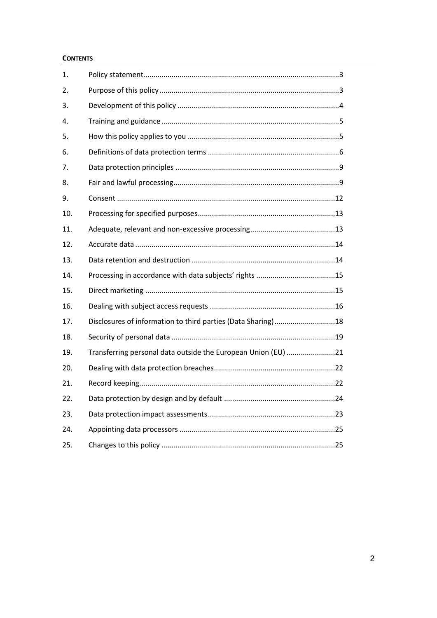#### **CONTENTS**

| 1.  |                                                               |
|-----|---------------------------------------------------------------|
| 2.  |                                                               |
| 3.  |                                                               |
| 4.  |                                                               |
| 5.  |                                                               |
| 6.  |                                                               |
| 7.  |                                                               |
| 8.  |                                                               |
| 9.  |                                                               |
| 10. |                                                               |
| 11. |                                                               |
| 12. |                                                               |
| 13. |                                                               |
| 14. |                                                               |
| 15. |                                                               |
| 16. |                                                               |
| 17. | Disclosures of information to third parties (Data Sharing)18  |
| 18. |                                                               |
| 19. | Transferring personal data outside the European Union (EU) 21 |
| 20. |                                                               |
| 21. |                                                               |
| 22. |                                                               |
| 23. |                                                               |
| 24. |                                                               |
| 25. |                                                               |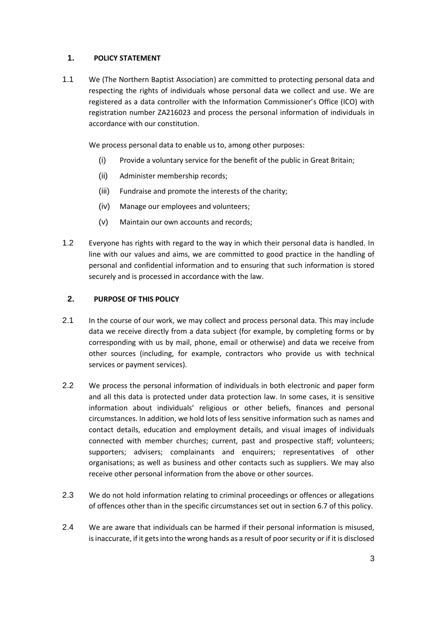### **1. POLICY STATEMENT**

1.1 We (The Northern Baptist Association) are committed to protecting personal data and respecting the rights of individuals whose personal data we collect and use. We are registered as a data controller with the Information Commissioner's Office (ICO) with registration number ZA216023 and process the personal information of individuals in accordance with our constitution.

We process personal data to enable us to, among other purposes:

- (i) Provide a voluntary service for the benefit of the public in Great Britain;
- (ii) Administer membership records;
- (iii) Fundraise and promote the interests of the charity;
- (iv) Manage our employees and volunteers;
- (v) Maintain our own accounts and records;
- 1.2 Everyone has rights with regard to the way in which their personal data is handled. In line with our values and aims, we are committed to good practice in the handling of personal and confidential information and to ensuring that such information is stored securely and is processed in accordance with the law.

#### **2. PURPOSE OF THIS POLICY**

- 2.1 In the course of our work, we may collect and process personal data. This may include data we receive directly from a data subject (for example, by completing forms or by corresponding with us by mail, phone, email or otherwise) and data we receive from other sources (including, for example, contractors who provide us with technical services or payment services).
- 2.2 We process the personal information of individuals in both electronic and paper form and all this data is protected under data protection law. In some cases, it is sensitive information about individuals' religious or other beliefs, finances and personal circumstances. In addition, we hold lots of less sensitive information such as names and contact details, education and employment details, and visual images of individuals connected with member churches; current, past and prospective staff; volunteers; supporters; advisers; complainants and enquirers; representatives of other organisations; as well as business and other contacts such as suppliers. We may also receive other personal information from the above or other sources.
- 2.3 We do not hold information relating to criminal proceedings or offences or allegations of offences other than in the specific circumstances set out in section 6.7 of this policy.
- 2.4 We are aware that individuals can be harmed if their personal information is misused, is inaccurate, if it gets into the wrong hands as a result of poor security or if it is disclosed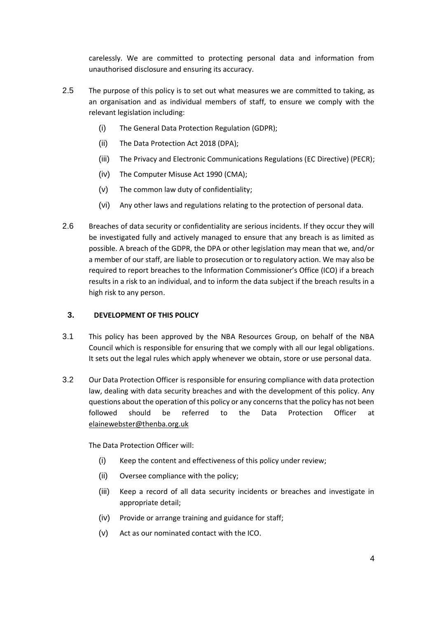carelessly. We are committed to protecting personal data and information from unauthorised disclosure and ensuring its accuracy.

- 2.5 The purpose of this policy is to set out what measures we are committed to taking, as an organisation and as individual members of staff, to ensure we comply with the relevant legislation including:
	- (i) The General Data Protection Regulation (GDPR);
	- (ii) The Data Protection Act 2018 (DPA);
	- (iii) The Privacy and Electronic Communications Regulations (EC Directive) (PECR);
	- (iv) The Computer Misuse Act 1990 (CMA);
	- (v) The common law duty of confidentiality;
	- (vi) Any other laws and regulations relating to the protection of personal data.
- 2.6 Breaches of data security or confidentiality are serious incidents. If they occur they will be investigated fully and actively managed to ensure that any breach is as limited as possible. A breach of the GDPR, the DPA or other legislation may mean that we, and/or a member of our staff, are liable to prosecution or to regulatory action. We may also be required to report breaches to the Information Commissioner's Office (ICO) if a breach results in a risk to an individual, and to inform the data subject if the breach results in a high risk to any person.

### **3. DEVELOPMENT OF THIS POLICY**

- 3.1 This policy has been approved by the NBA Resources Group, on behalf of the NBA Council which is responsible for ensuring that we comply with all our legal obligations. It sets out the legal rules which apply whenever we obtain, store or use personal data.
- 3.2 Our Data Protection Officer is responsible for ensuring compliance with data protection law, dealing with data security breaches and with the development of this policy. Any questions about the operation of this policy or any concerns that the policy has not been followed should be referred to the Data Protection Officer at [elainewebster@thenba.org.uk](mailto:elainewebster@thenba.org.uk)

The Data Protection Officer will:

- (i) Keep the content and effectiveness of this policy under review;
- (ii) Oversee compliance with the policy;
- (iii) Keep a record of all data security incidents or breaches and investigate in appropriate detail;
- (iv) Provide or arrange training and guidance for staff;
- (v) Act as our nominated contact with the ICO.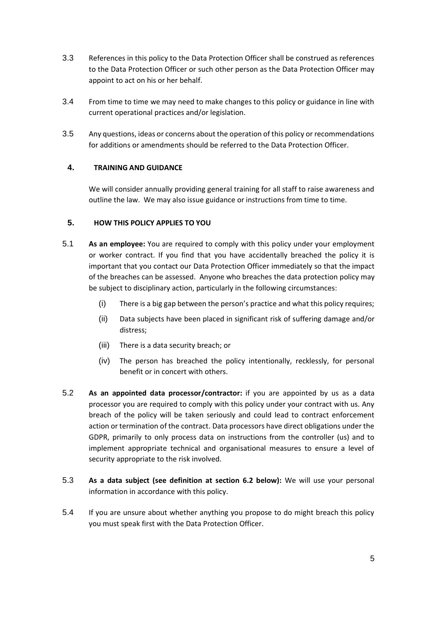- 3.3 References in this policy to the Data Protection Officer shall be construed as references to the Data Protection Officer or such other person as the Data Protection Officer may appoint to act on his or her behalf.
- 3.4 From time to time we may need to make changes to this policy or guidance in line with current operational practices and/or legislation.
- 3.5 Any questions, ideas or concerns about the operation of this policy or recommendations for additions or amendments should be referred to the Data Protection Officer.

### **4. TRAINING AND GUIDANCE**

We will consider annually providing general training for all staff to raise awareness and outline the law. We may also issue guidance or instructions from time to time.

### **5. HOW THIS POLICY APPLIES TO YOU**

- 5.1 **As an employee:** You are required to comply with this policy under your employment or worker contract. If you find that you have accidentally breached the policy it is important that you contact our Data Protection Officer immediately so that the impact of the breaches can be assessed. Anyone who breaches the data protection policy may be subject to disciplinary action, particularly in the following circumstances:
	- (i) There is a big gap between the person's practice and what this policy requires;
	- (ii) Data subjects have been placed in significant risk of suffering damage and/or distress;
	- (iii) There is a data security breach; or
	- (iv) The person has breached the policy intentionally, recklessly, for personal benefit or in concert with others.
- 5.2 **As an appointed data processor/contractor:** if you are appointed by us as a data processor you are required to comply with this policy under your contract with us. Any breach of the policy will be taken seriously and could lead to contract enforcement action or termination of the contract. Data processors have direct obligations under the GDPR, primarily to only process data on instructions from the controller (us) and to implement appropriate technical and organisational measures to ensure a level of security appropriate to the risk involved.
- 5.3 **As a data subject (see definition at section 6.2 below):** We will use your personal information in accordance with this policy.
- 5.4 If you are unsure about whether anything you propose to do might breach this policy you must speak first with the Data Protection Officer.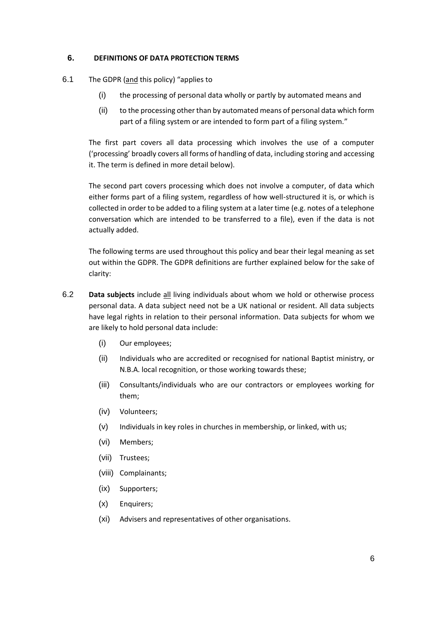#### **6. DEFINITIONS OF DATA PROTECTION TERMS**

- 6.1 The GDPR (and this policy) "applies to
	- (i) the processing of personal data wholly or partly by automated means and
	- (ii) to the processing other than by automated means of personal data which form part of a filing system or are intended to form part of a filing system."

The first part covers all data processing which involves the use of a computer ('processing' broadly covers all forms of handling of data, including storing and accessing it. The term is defined in more detail below).

The second part covers processing which does not involve a computer, of data which either forms part of a filing system, regardless of how well-structured it is, or which is collected in order to be added to a filing system at a later time (e.g. notes of a telephone conversation which are intended to be transferred to a file), even if the data is not actually added.

The following terms are used throughout this policy and bear their legal meaning as set out within the GDPR. The GDPR definitions are further explained below for the sake of clarity:

- 6.2 **Data subjects** include all living individuals about whom we hold or otherwise process personal data. A data subject need not be a UK national or resident. All data subjects have legal rights in relation to their personal information. Data subjects for whom we are likely to hold personal data include:
	- (i) Our employees;
	- (ii) Individuals who are accredited or recognised for national Baptist ministry, or N.B.A. local recognition, or those working towards these;
	- (iii) Consultants/individuals who are our contractors or employees working for them;
	- (iv) Volunteers;
	- (v) Individuals in key roles in churches in membership, or linked, with us;
	- (vi) Members;
	- (vii) Trustees;
	- (viii) Complainants;
	- (ix) Supporters;
	- (x) Enquirers;
	- (xi) Advisers and representatives of other organisations.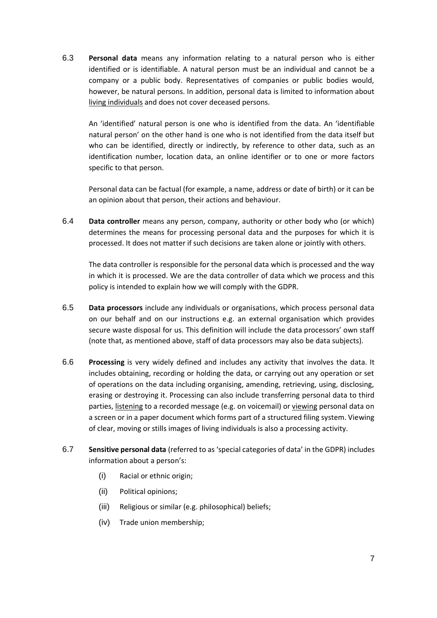6.3 **Personal data** means any information relating to a natural person who is either identified or is identifiable. A natural person must be an individual and cannot be a company or a public body. Representatives of companies or public bodies would, however, be natural persons. In addition, personal data is limited to information about living individuals and does not cover deceased persons.

An 'identified' natural person is one who is identified from the data. An 'identifiable natural person' on the other hand is one who is not identified from the data itself but who can be identified, directly or indirectly, by reference to other data, such as an identification number, location data, an online identifier or to one or more factors specific to that person.

Personal data can be factual (for example, a name, address or date of birth) or it can be an opinion about that person, their actions and behaviour.

6.4 **Data controller** means any person, company, authority or other body who (or which) determines the means for processing personal data and the purposes for which it is processed. It does not matter if such decisions are taken alone or jointly with others.

The data controller is responsible for the personal data which is processed and the way in which it is processed. We are the data controller of data which we process and this policy is intended to explain how we will comply with the GDPR.

- 6.5 **Data processors** include any individuals or organisations, which process personal data on our behalf and on our instructions e.g. an external organisation which provides secure waste disposal for us. This definition will include the data processors' own staff (note that, as mentioned above, staff of data processors may also be data subjects).
- 6.6 **Processing** is very widely defined and includes any activity that involves the data. It includes obtaining, recording or holding the data, or carrying out any operation or set of operations on the data including organising, amending, retrieving, using, disclosing, erasing or destroying it. Processing can also include transferring personal data to third parties, listening to a recorded message (e.g. on voicemail) or viewing personal data on a screen or in a paper document which forms part of a structured filing system. Viewing of clear, moving or stills images of living individuals is also a processing activity.
- 6.7 **Sensitive personal data** (referred to as 'special categories of data' in the GDPR) includes information about a person's:
	- (i) Racial or ethnic origin;
	- (ii) Political opinions;
	- (iii) Religious or similar (e.g. philosophical) beliefs;
	- (iv) Trade union membership;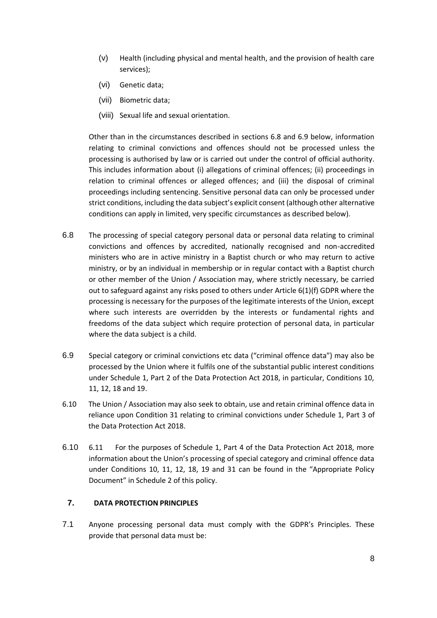- (v) Health (including physical and mental health, and the provision of health care services);
- (vi) Genetic data;
- (vii) Biometric data;
- (viii) Sexual life and sexual orientation.

Other than in the circumstances described in sections 6.8 and 6.9 below, information relating to criminal convictions and offences should not be processed unless the processing is authorised by law or is carried out under the control of official authority. This includes information about (i) allegations of criminal offences; (ii) proceedings in relation to criminal offences or alleged offences; and (iii) the disposal of criminal proceedings including sentencing. Sensitive personal data can only be processed under strict conditions, including the data subject's explicit consent (although other alternative conditions can apply in limited, very specific circumstances as described below).

- 6.8 The processing of special category personal data or personal data relating to criminal convictions and offences by accredited, nationally recognised and non-accredited ministers who are in active ministry in a Baptist church or who may return to active ministry, or by an individual in membership or in regular contact with a Baptist church or other member of the Union / Association may, where strictly necessary, be carried out to safeguard against any risks posed to others under Article 6(1)(f) GDPR where the processing is necessary for the purposes of the legitimate interests of the Union, except where such interests are overridden by the interests or fundamental rights and freedoms of the data subject which require protection of personal data, in particular where the data subject is a child.
- 6.9 Special category or criminal convictions etc data ("criminal offence data") may also be processed by the Union where it fulfils one of the substantial public interest conditions under Schedule 1, Part 2 of the Data Protection Act 2018, in particular, Conditions 10, 11, 12, 18 and 19.
- 6.10 The Union / Association may also seek to obtain, use and retain criminal offence data in reliance upon Condition 31 relating to criminal convictions under Schedule 1, Part 3 of the Data Protection Act 2018.
- 6.10 6.11 For the purposes of Schedule 1, Part 4 of the Data Protection Act 2018, more information about the Union's processing of special category and criminal offence data under Conditions 10, 11, 12, 18, 19 and 31 can be found in the "Appropriate Policy Document" in Schedule 2 of this policy.

#### **7. DATA PROTECTION PRINCIPLES**

7.1 Anyone processing personal data must comply with the GDPR's Principles. These provide that personal data must be: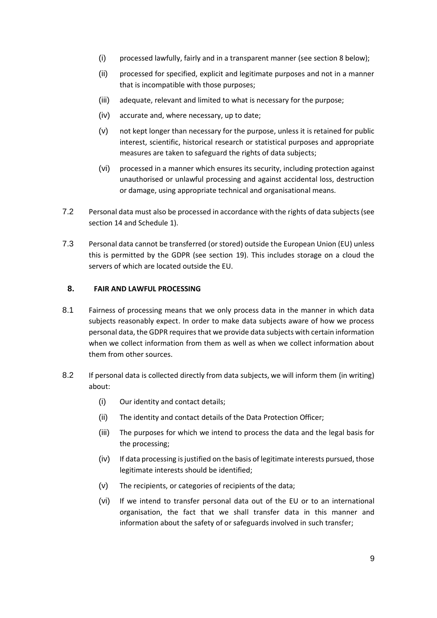- (i) processed lawfully, fairly and in a transparent manner (see section 8 below);
- (ii) processed for specified, explicit and legitimate purposes and not in a manner that is incompatible with those purposes;
- (iii) adequate, relevant and limited to what is necessary for the purpose;
- (iv) accurate and, where necessary, up to date;
- (v) not kept longer than necessary for the purpose, unless it is retained for public interest, scientific, historical research or statistical purposes and appropriate measures are taken to safeguard the rights of data subjects;
- (vi) processed in a manner which ensures its security, including protection against unauthorised or unlawful processing and against accidental loss, destruction or damage, using appropriate technical and organisational means.
- 7.2 Personal data must also be processed in accordance with the rights of data subjects(see section 14 an[d Schedule 1\)](#page-25-0).
- 7.3 Personal data cannot be transferred (or stored) outside the European Union (EU) unless this is permitted by the GDPR (see section 19). This includes storage on a cloud the servers of which are located outside the EU.

#### **8. FAIR AND LAWFUL PROCESSING**

- 8.1 Fairness of processing means that we only process data in the manner in which data subjects reasonably expect. In order to make data subjects aware of how we process personal data, the GDPR requires that we provide data subjects with certain information when we collect information from them as well as when we collect information about them from other sources.
- <span id="page-8-0"></span>8.2 If personal data is collected directly from data subjects, we will inform them (in writing) about:
	- (i) Our identity and contact details;
	- (ii) The identity and contact details of the Data Protection Officer;
	- (iii) The purposes for which we intend to process the data and the legal basis for the processing;
	- (iv) If data processing is justified on the basis of legitimate interests pursued, those legitimate interests should be identified;
	- (v) The recipients, or categories of recipients of the data;
	- (vi) If we intend to transfer personal data out of the EU or to an international organisation, the fact that we shall transfer data in this manner and information about the safety of or safeguards involved in such transfer;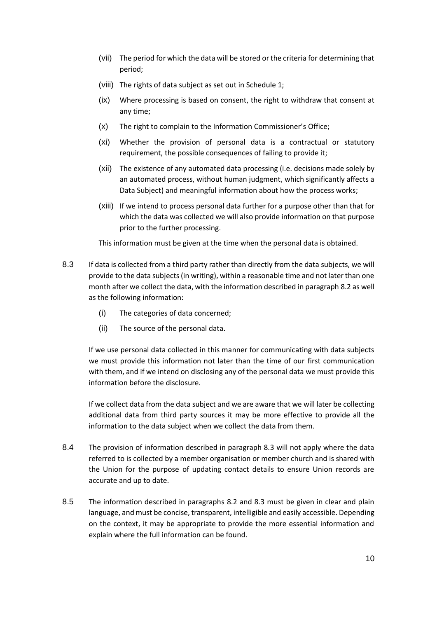- (vii) The period for which the data will be stored or the criteria for determining that period;
- (viii) The rights of data subject as set out in [Schedule 1;](#page-25-0)
- (ix) Where processing is based on consent, the right to withdraw that consent at any time;
- (x) The right to complain to the Information Commissioner's Office;
- (xi) Whether the provision of personal data is a contractual or statutory requirement, the possible consequences of failing to provide it;
- (xii) The existence of any automated data processing (i.e. decisions made solely by an automated process, without human judgment, which significantly affects a Data Subject) and meaningful information about how the process works;
- (xiii) If we intend to process personal data further for a purpose other than that for which the data was collected we will also provide information on that purpose prior to the further processing.

This information must be given at the time when the personal data is obtained.

- <span id="page-9-0"></span>8.3 If data is collected from a third party rather than directly from the data subjects, we will provide to the data subjects (in writing), within a reasonable time and not later than one month after we collect the data, with the information described in paragraph [8.2](#page-8-0) as well as the following information:
	- (i) The categories of data concerned;
	- (ii) The source of the personal data.

If we use personal data collected in this manner for communicating with data subjects we must provide this information not later than the time of our first communication with them, and if we intend on disclosing any of the personal data we must provide this information before the disclosure.

If we collect data from the data subject and we are aware that we will later be collecting additional data from third party sources it may be more effective to provide all the information to the data subject when we collect the data from them.

- 8.4 The provision of information described in paragraph 8.3 will not apply where the data referred to is collected by a member organisation or member church and is shared with the Union for the purpose of updating contact details to ensure Union records are accurate and up to date.
- 8.5 The information described in paragraphs [8.2](#page-8-0) and [8.3](#page-9-0) must be given in clear and plain language, and must be concise, transparent, intelligible and easily accessible. Depending on the context, it may be appropriate to provide the more essential information and explain where the full information can be found.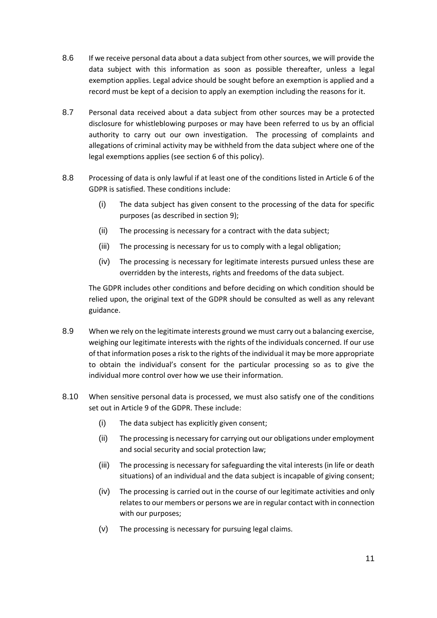- 8.6 If we receive personal data about a data subject from other sources, we will provide the data subject with this information as soon as possible thereafter, unless a legal exemption applies. Legal advice should be sought before an exemption is applied and a record must be kept of a decision to apply an exemption including the reasons for it.
- 8.7 Personal data received about a data subject from other sources may be a protected disclosure for whistleblowing purposes or may have been referred to us by an official authority to carry out our own investigation. The processing of complaints and allegations of criminal activity may be withheld from the data subject where one of the legal exemptions applies (see section 6 of this policy).
- 8.8 Processing of data is only lawful if at least one of the conditions listed in Article 6 of the GDPR is satisfied. These conditions include:
	- (i) The data subject has given consent to the processing of the data for specific purposes (as described in section 9);
	- (ii) The processing is necessary for a contract with the data subject;
	- (iii) The processing is necessary for us to comply with a legal obligation;
	- (iv) The processing is necessary for legitimate interests pursued unless these are overridden by the interests, rights and freedoms of the data subject.

The GDPR includes other conditions and before deciding on which condition should be relied upon, the original text of the GDPR should be consulted as well as any relevant guidance.

- 8.9 When we rely on the legitimate interests ground we must carry out a balancing exercise, weighing our legitimate interests with the rights of the individuals concerned. If our use of that information poses a risk to the rights of the individual it may be more appropriate to obtain the individual's consent for the particular processing so as to give the individual more control over how we use their information.
- 8.10 When sensitive personal data is processed, we must also satisfy one of the conditions set out in Article 9 of the GDPR. These include:
	- (i) The data subject has explicitly given consent;
	- (ii) The processing is necessary for carrying out our obligations under employment and social security and social protection law;
	- (iii) The processing is necessary for safeguarding the vital interests (in life or death situations) of an individual and the data subject is incapable of giving consent;
	- (iv) The processing is carried out in the course of our legitimate activities and only relates to our members or persons we are in regular contact with in connection with our purposes;
	- (v) The processing is necessary for pursuing legal claims.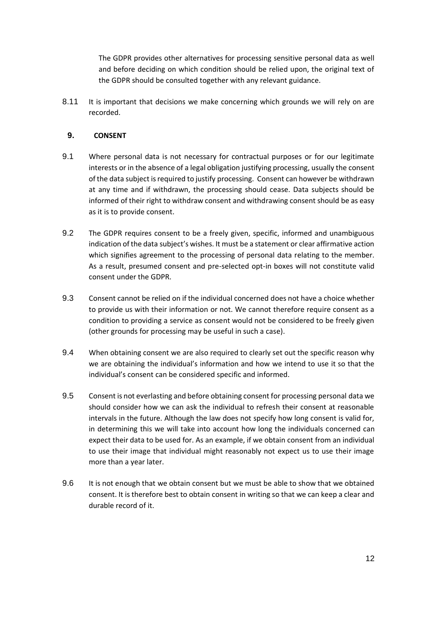The GDPR provides other alternatives for processing sensitive personal data as well and before deciding on which condition should be relied upon, the original text of the GDPR should be consulted together with any relevant guidance.

8.11 It is important that decisions we make concerning which grounds we will rely on are recorded.

## <span id="page-11-0"></span>**9. CONSENT**

- 9.1 Where personal data is not necessary for contractual purposes or for our legitimate interests or in the absence of a legal obligation justifying processing, usually the consent of the data subject is required to justify processing. Consent can however be withdrawn at any time and if withdrawn, the processing should cease. Data subjects should be informed of their right to withdraw consent and withdrawing consent should be as easy as it is to provide consent.
- 9.2 The GDPR requires consent to be a freely given, specific, informed and unambiguous indication of the data subject's wishes. It must be a statement or clear affirmative action which signifies agreement to the processing of personal data relating to the member. As a result, presumed consent and pre-selected opt-in boxes will not constitute valid consent under the GDPR.
- 9.3 Consent cannot be relied on if the individual concerned does not have a choice whether to provide us with their information or not. We cannot therefore require consent as a condition to providing a service as consent would not be considered to be freely given (other grounds for processing may be useful in such a case).
- 9.4 When obtaining consent we are also required to clearly set out the specific reason why we are obtaining the individual's information and how we intend to use it so that the individual's consent can be considered specific and informed.
- 9.5 Consent is not everlasting and before obtaining consent for processing personal data we should consider how we can ask the individual to refresh their consent at reasonable intervals in the future. Although the law does not specify how long consent is valid for, in determining this we will take into account how long the individuals concerned can expect their data to be used for. As an example, if we obtain consent from an individual to use their image that individual might reasonably not expect us to use their image more than a year later.
- 9.6 It is not enough that we obtain consent but we must be able to show that we obtained consent. It is therefore best to obtain consent in writing so that we can keep a clear and durable record of it.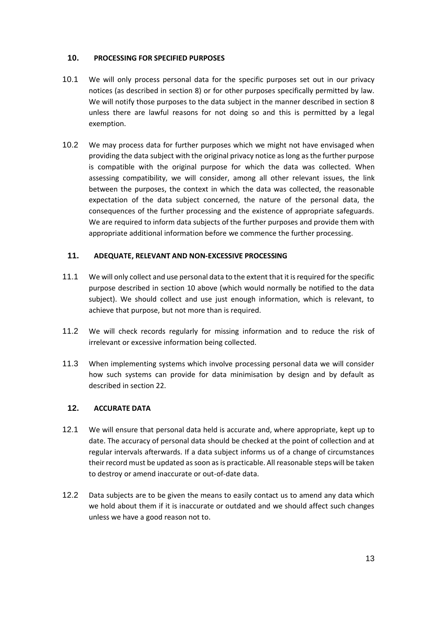#### **10. PROCESSING FOR SPECIFIED PURPOSES**

- 10.1 We will only process personal data for the specific purposes set out in our privacy notices (as described in section 8) or for other purposes specifically permitted by law. We will notify those purposes to the data subject in the manner described in section 8 unless there are lawful reasons for not doing so and this is permitted by a legal exemption.
- 10.2 We may process data for further purposes which we might not have envisaged when providing the data subject with the original privacy notice as long as the further purpose is compatible with the original purpose for which the data was collected. When assessing compatibility, we will consider, among all other relevant issues, the link between the purposes, the context in which the data was collected, the reasonable expectation of the data subject concerned, the nature of the personal data, the consequences of the further processing and the existence of appropriate safeguards. We are required to inform data subjects of the further purposes and provide them with appropriate additional information before we commence the further processing.

### **11. ADEQUATE, RELEVANT AND NON-EXCESSIVE PROCESSING**

- 11.1 We will only collect and use personal data to the extent that it is required for the specific purpose described in section 10 above (which would normally be notified to the data subject). We should collect and use just enough information, which is relevant, to achieve that purpose, but not more than is required.
- 11.2 We will check records regularly for missing information and to reduce the risk of irrelevant or excessive information being collected.
- 11.3 When implementing systems which involve processing personal data we will consider how such systems can provide for data minimisation by design and by default as described in section 22.

### **12. ACCURATE DATA**

- 12.1 We will ensure that personal data held is accurate and, where appropriate, kept up to date. The accuracy of personal data should be checked at the point of collection and at regular intervals afterwards. If a data subject informs us of a change of circumstances their record must be updated as soon as is practicable. All reasonable steps will be taken to destroy or amend inaccurate or out-of-date data.
- 12.2 Data subjects are to be given the means to easily contact us to amend any data which we hold about them if it is inaccurate or outdated and we should affect such changes unless we have a good reason not to.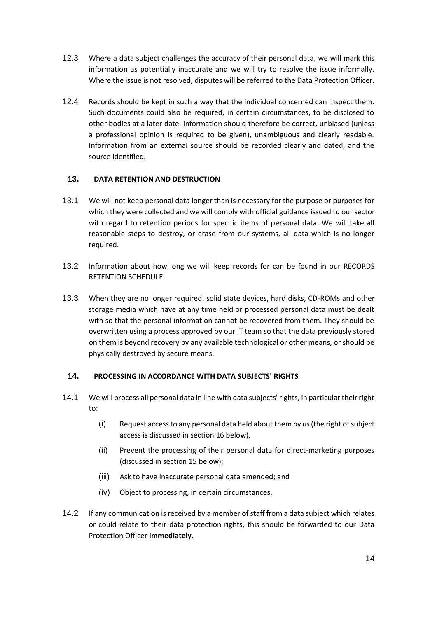- 12.3 Where a data subject challenges the accuracy of their personal data, we will mark this information as potentially inaccurate and we will try to resolve the issue informally. Where the issue is not resolved, disputes will be referred to the Data Protection Officer.
- 12.4 Records should be kept in such a way that the individual concerned can inspect them. Such documents could also be required, in certain circumstances, to be disclosed to other bodies at a later date. Information should therefore be correct, unbiased (unless a professional opinion is required to be given), unambiguous and clearly readable. Information from an external source should be recorded clearly and dated, and the source identified.

# **13. DATA RETENTION AND DESTRUCTION**

- 13.1 We will not keep personal data longer than is necessary for the purpose or purposes for which they were collected and we will comply with official guidance issued to our sector with regard to retention periods for specific items of personal data. We will take all reasonable steps to destroy, or erase from our systems, all data which is no longer required.
- 13.2 Information about how long we will keep records for can be found in our RECORDS RETENTION SCHEDULE
- 13.3 When they are no longer required, solid state devices, hard disks, CD-ROMs and other storage media which have at any time held or processed personal data must be dealt with so that the personal information cannot be recovered from them. They should be overwritten using a process approved by our IT team so that the data previously stored on them is beyond recovery by any available technological or other means, or should be physically destroyed by secure means.

### **14. PROCESSING IN ACCORDANCE WITH DATA SUBJECTS' RIGHTS**

- 14.1 We will process all personal data in line with data subjects' rights, in particular their right to:
	- (i) Request access to any personal data held about them by us (the right of subject access is discussed in section [16](#page-14-0) below),
	- (ii) Prevent the processing of their personal data for direct-marketing purposes (discussed in section [15](#page-14-1) below);
	- (iii) Ask to have inaccurate personal data amended; and
	- (iv) Object to processing, in certain circumstances.
- 14.2 If any communication is received by a member of staff from a data subject which relates or could relate to their data protection rights, this should be forwarded to our Data Protection Officer **immediately**.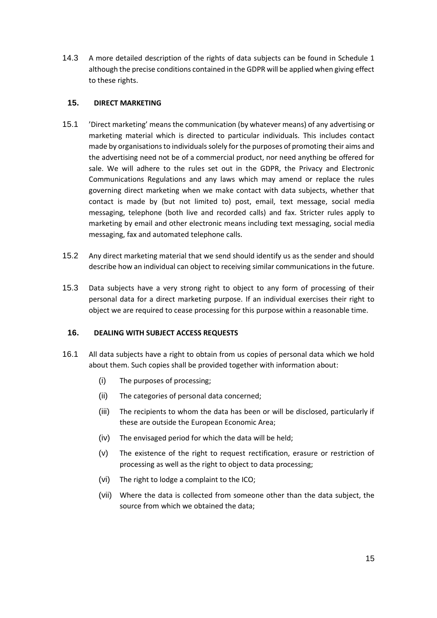14.3 A more detailed description of the rights of data subjects can be found in [Schedule 1](#page-25-0) although the precise conditions contained in the GDPR will be applied when giving effect to these rights.

#### <span id="page-14-1"></span>**15. DIRECT MARKETING**

- 15.1 'Direct marketing' means the communication (by whatever means) of any advertising or marketing material which is directed to particular individuals. This includes contact made by organisations to individuals solely for the purposes of promoting their aims and the advertising need not be of a commercial product, nor need anything be offered for sale. We will adhere to the rules set out in the GDPR, the Privacy and Electronic Communications Regulations and any laws which may amend or replace the rules governing direct marketing when we make contact with data subjects, whether that contact is made by (but not limited to) post, email, text message, social media messaging, telephone (both live and recorded calls) and fax. Stricter rules apply to marketing by email and other electronic means including text messaging, social media messaging, fax and automated telephone calls.
- 15.2 Any direct marketing material that we send should identify us as the sender and should describe how an individual can object to receiving similar communications in the future.
- 15.3 Data subjects have a very strong right to object to any form of processing of their personal data for a direct marketing purpose. If an individual exercises their right to object we are required to cease processing for this purpose within a reasonable time.

## <span id="page-14-0"></span>**16. DEALING WITH SUBJECT ACCESS REQUESTS**

- 16.1 All data subjects have a right to obtain from us copies of personal data which we hold about them. Such copies shall be provided together with information about:
	- (i) The purposes of processing;
	- (ii) The categories of personal data concerned;
	- (iii) The recipients to whom the data has been or will be disclosed, particularly if these are outside the European Economic Area;
	- (iv) The envisaged period for which the data will be held;
	- (v) The existence of the right to request rectification, erasure or restriction of processing as well as the right to object to data processing;
	- (vi) The right to lodge a complaint to the ICO;
	- (vii) Where the data is collected from someone other than the data subject, the source from which we obtained the data;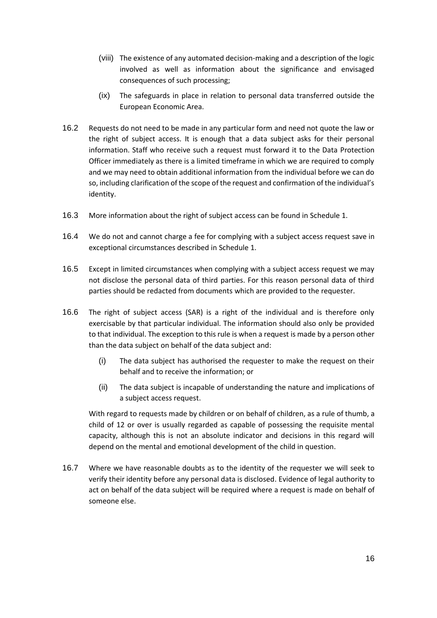- (viii) The existence of any automated decision-making and a description of the logic involved as well as information about the significance and envisaged consequences of such processing;
- (ix) The safeguards in place in relation to personal data transferred outside the European Economic Area.
- 16.2 Requests do not need to be made in any particular form and need not quote the law or the right of subject access. It is enough that a data subject asks for their personal information. Staff who receive such a request must forward it to the Data Protection Officer immediately as there is a limited timeframe in which we are required to comply and we may need to obtain additional information from the individual before we can do so, including clarification of the scope of the request and confirmation of the individual's identity.
- 16.3 More information about the right of subject access can be found in [Schedule 1.](#page-25-0)
- 16.4 We do not and cannot charge a fee for complying with a subject access request save in exceptional circumstances described in [Schedule 1.](#page-25-0)
- 16.5 Except in limited circumstances when complying with a subject access request we may not disclose the personal data of third parties. For this reason personal data of third parties should be redacted from documents which are provided to the requester.
- 16.6 The right of subject access (SAR) is a right of the individual and is therefore only exercisable by that particular individual. The information should also only be provided to that individual. The exception to this rule is when a request is made by a person other than the data subject on behalf of the data subject and:
	- (i) The data subject has authorised the requester to make the request on their behalf and to receive the information; or
	- (ii) The data subject is incapable of understanding the nature and implications of a subject access request.

With regard to requests made by children or on behalf of children, as a rule of thumb, a child of 12 or over is usually regarded as capable of possessing the requisite mental capacity, although this is not an absolute indicator and decisions in this regard will depend on the mental and emotional development of the child in question.

16.7 Where we have reasonable doubts as to the identity of the requester we will seek to verify their identity before any personal data is disclosed. Evidence of legal authority to act on behalf of the data subject will be required where a request is made on behalf of someone else.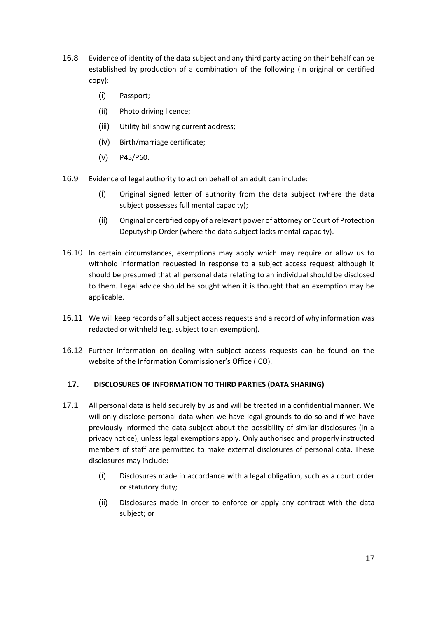- 16.8 Evidence of identity of the data subject and any third party acting on their behalf can be established by production of a combination of the following (in original or certified copy):
	- (i) Passport;
	- (ii) Photo driving licence;
	- (iii) Utility bill showing current address;
	- (iv) Birth/marriage certificate;
	- (v) P45/P60.
- 16.9 Evidence of legal authority to act on behalf of an adult can include:
	- (i) Original signed letter of authority from the data subject (where the data subject possesses full mental capacity);
	- (ii) Original or certified copy of a relevant power of attorney or Court of Protection Deputyship Order (where the data subject lacks mental capacity).
- 16.10 In certain circumstances, exemptions may apply which may require or allow us to withhold information requested in response to a subject access request although it should be presumed that all personal data relating to an individual should be disclosed to them. Legal advice should be sought when it is thought that an exemption may be applicable.
- 16.11 We will keep records of all subject access requests and a record of why information was redacted or withheld (e.g. subject to an exemption).
- 16.12 Further information on dealing with subject access requests can be found on the website of the Information Commissioner's Office (ICO).

### **17. DISCLOSURES OF INFORMATION TO THIRD PARTIES (DATA SHARING)**

- 17.1 All personal data is held securely by us and will be treated in a confidential manner. We will only disclose personal data when we have legal grounds to do so and if we have previously informed the data subject about the possibility of similar disclosures (in a privacy notice), unless legal exemptions apply. Only authorised and properly instructed members of staff are permitted to make external disclosures of personal data. These disclosures may include:
	- (i) Disclosures made in accordance with a legal obligation, such as a court order or statutory duty;
	- (ii) Disclosures made in order to enforce or apply any contract with the data subject; or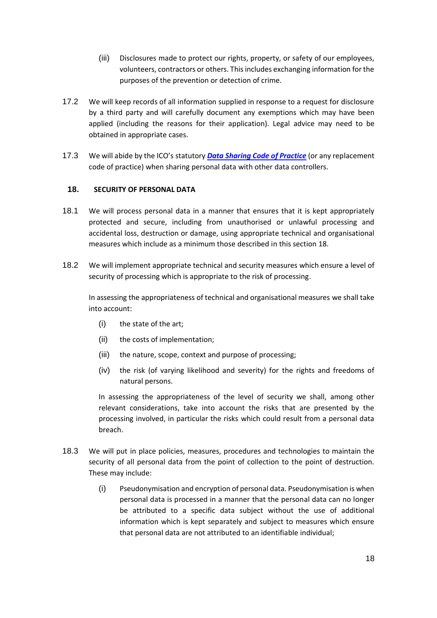- (iii) Disclosures made to protect our rights, property, or safety of our employees, volunteers, contractors or others. This includes exchanging information for the purposes of the prevention or detection of crime.
- 17.2 We will keep records of all information supplied in response to a request for disclosure by a third party and will carefully document any exemptions which may have been applied (including the reasons for their application). Legal advice may need to be obtained in appropriate cases.
- 17.3 We will abide by the ICO's statutory *[Data Sharing Code of Practice](https://ico.org.uk/media/for-organisations/.../data_sharing_code_of_practice.pdf)* (or any replacement code of practice) when sharing personal data with other data controllers.

#### <span id="page-17-0"></span>**18. SECURITY OF PERSONAL DATA**

- 18.1 We will process personal data in a manner that ensures that it is kept appropriately protected and secure, including from unauthorised or unlawful processing and accidental loss, destruction or damage, using appropriate technical and organisational measures which include as a minimum those described in this section [18.](#page-17-0)
- 18.2 We will implement appropriate technical and security measures which ensure a level of security of processing which is appropriate to the risk of processing.

In assessing the appropriateness of technical and organisational measures we shall take into account:

- (i) the state of the art;
- (ii) the costs of implementation;
- (iii) the nature, scope, context and purpose of processing;
- (iv) the risk (of varying likelihood and severity) for the rights and freedoms of natural persons.

In assessing the appropriateness of the level of security we shall, among other relevant considerations, take into account the risks that are presented by the processing involved, in particular the risks which could result from a personal data breach.

- 18.3 We will put in place policies, measures, procedures and technologies to maintain the security of all personal data from the point of collection to the point of destruction. These may include:
	- (i) Pseudonymisation and encryption of personal data. Pseudonymisation is when personal data is processed in a manner that the personal data can no longer be attributed to a specific data subject without the use of additional information which is kept separately and subject to measures which ensure that personal data are not attributed to an identifiable individual;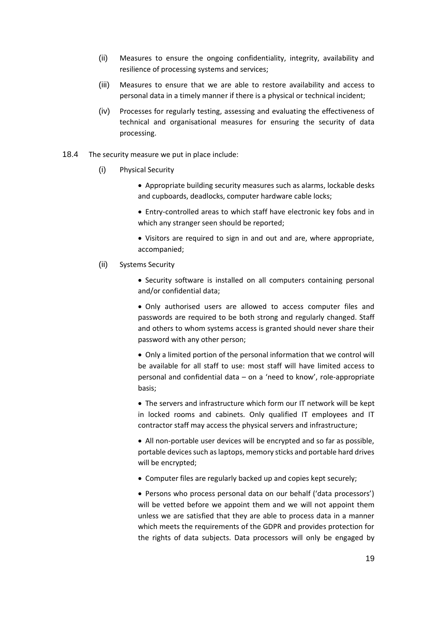- (ii) Measures to ensure the ongoing confidentiality, integrity, availability and resilience of processing systems and services;
- (iii) Measures to ensure that we are able to restore availability and access to personal data in a timely manner if there is a physical or technical incident;
- (iv) Processes for regularly testing, assessing and evaluating the effectiveness of technical and organisational measures for ensuring the security of data processing.
- 18.4 The security measure we put in place include:
	- (i) Physical Security
		- Appropriate building security measures such as alarms, lockable desks and cupboards, deadlocks, computer hardware cable locks;
		- Entry-controlled areas to which staff have electronic key fobs and in which any stranger seen should be reported;
		- Visitors are required to sign in and out and are, where appropriate, accompanied;
	- (ii) Systems Security
		- Security software is installed on all computers containing personal and/or confidential data;

• Only authorised users are allowed to access computer files and passwords are required to be both strong and regularly changed. Staff and others to whom systems access is granted should never share their password with any other person;

• Only a limited portion of the personal information that we control will be available for all staff to use: most staff will have limited access to personal and confidential data – on a 'need to know', role-appropriate basis;

• The servers and infrastructure which form our IT network will be kept in locked rooms and cabinets. Only qualified IT employees and IT contractor staff may access the physical servers and infrastructure;

• All non-portable user devices will be encrypted and so far as possible, portable devices such as laptops, memory sticks and portable hard drives will be encrypted;

• Computer files are regularly backed up and copies kept securely;

• Persons who process personal data on our behalf ('data processors') will be vetted before we appoint them and we will not appoint them unless we are satisfied that they are able to process data in a manner which meets the requirements of the GDPR and provides protection for the rights of data subjects. Data processors will only be engaged by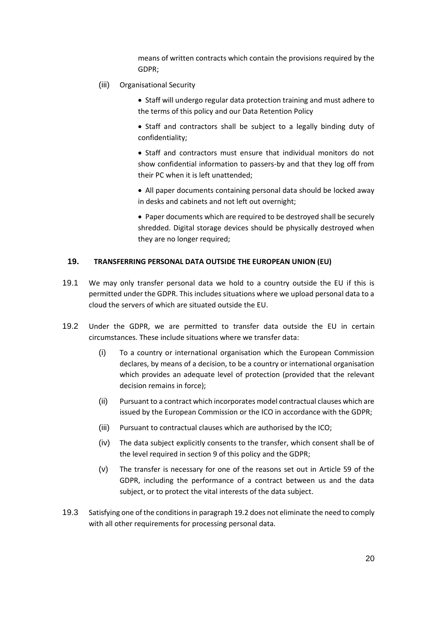means of written contracts which contain the provisions required by the GDPR;

- (iii) Organisational Security
	- Staff will undergo regular data protection training and must adhere to the terms of this policy and our Data Retention Policy
	- Staff and contractors shall be subject to a legally binding duty of confidentiality;
	- Staff and contractors must ensure that individual monitors do not show confidential information to passers-by and that they log off from their PC when it is left unattended;
	- All paper documents containing personal data should be locked away in desks and cabinets and not left out overnight;
	- Paper documents which are required to be destroyed shall be securely shredded. Digital storage devices should be physically destroyed when they are no longer required;

#### <span id="page-19-1"></span>**19. TRANSFERRING PERSONAL DATA OUTSIDE THE EUROPEAN UNION (EU)**

- 19.1 We may only transfer personal data we hold to a country outside the EU if this is permitted under the GDPR. This includes situations where we upload personal data to a cloud the servers of which are situated outside the EU.
- <span id="page-19-0"></span>19.2 Under the GDPR, we are permitted to transfer data outside the EU in certain circumstances. These include situations where we transfer data:
	- (i) To a country or international organisation which the European Commission declares, by means of a decision, to be a country or international organisation which provides an adequate level of protection (provided that the relevant decision remains in force);
	- (ii) Pursuant to a contract which incorporates model contractual clauses which are issued by the European Commission or the ICO in accordance with the GDPR;
	- (iii) Pursuant to contractual clauses which are authorised by the ICO;
	- (iv) The data subject explicitly consents to the transfer, which consent shall be of the level required in section [9](#page-11-0) of this policy and the GDPR;
	- (v) The transfer is necessary for one of the reasons set out in Article 59 of the GDPR, including the performance of a contract between us and the data subject, or to protect the vital interests of the data subject.
- 19.3 Satisfying one of the conditions in paragrap[h 19.2](#page-19-0) does not eliminate the need to comply with all other requirements for processing personal data.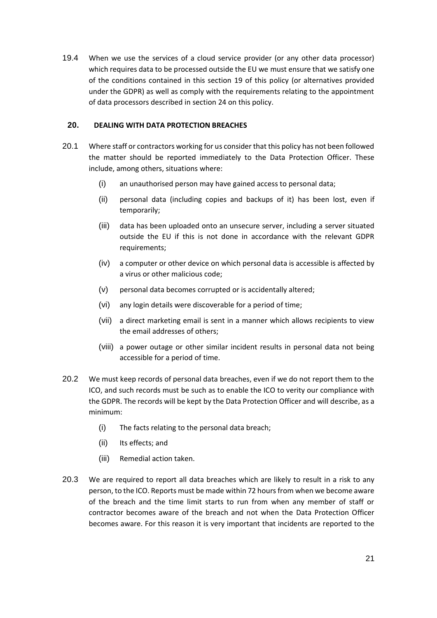19.4 When we use the services of a cloud service provider (or any other data processor) which requires data to be processed outside the EU we must ensure that we satisfy one of the conditions contained in this section [19](#page-19-1) of this policy (or alternatives provided under the GDPR) as well as comply with the requirements relating to the appointment of data processors described in section [24](#page-23-0) on this policy.

# **20. DEALING WITH DATA PROTECTION BREACHES**

- 20.1 Where staff or contractors working for us consider that this policy has not been followed the matter should be reported immediately to the Data Protection Officer. These include, among others, situations where:
	- (i) an unauthorised person may have gained access to personal data;
	- (ii) personal data (including copies and backups of it) has been lost, even if temporarily;
	- (iii) data has been uploaded onto an unsecure server, including a server situated outside the EU if this is not done in accordance with the relevant GDPR requirements;
	- (iv) a computer or other device on which personal data is accessible is affected by a virus or other malicious code;
	- (v) personal data becomes corrupted or is accidentally altered;
	- (vi) any login details were discoverable for a period of time;
	- (vii) a direct marketing email is sent in a manner which allows recipients to view the email addresses of others;
	- (viii) a power outage or other similar incident results in personal data not being accessible for a period of time.
- 20.2 We must keep records of personal data breaches, even if we do not report them to the ICO, and such records must be such as to enable the ICO to verity our compliance with the GDPR. The records will be kept by the Data Protection Officer and will describe, as a minimum:
	- (i) The facts relating to the personal data breach;
	- (ii) Its effects; and
	- (iii) Remedial action taken.
- 20.3 We are required to report all data breaches which are likely to result in a risk to any person, to the ICO. Reports must be made within 72 hours from when we become aware of the breach and the time limit starts to run from when any member of staff or contractor becomes aware of the breach and not when the Data Protection Officer becomes aware. For this reason it is very important that incidents are reported to the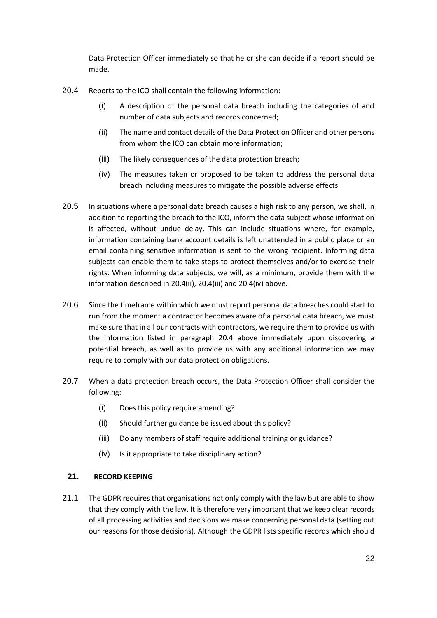Data Protection Officer immediately so that he or she can decide if a report should be made.

- <span id="page-21-3"></span><span id="page-21-0"></span>20.4 Reports to the ICO shall contain the following information:
	- (i) A description of the personal data breach including the categories of and number of data subjects and records concerned;
	- (ii) The name and contact details of the Data Protection Officer and other persons from whom the ICO can obtain more information;
	- (iii) The likely consequences of the data protection breach;
	- (iv) The measures taken or proposed to be taken to address the personal data breach including measures to mitigate the possible adverse effects.
- <span id="page-21-2"></span><span id="page-21-1"></span>20.5 In situations where a personal data breach causes a high risk to any person, we shall, in addition to reporting the breach to the ICO, inform the data subject whose information is affected, without undue delay. This can include situations where, for example, information containing bank account details is left unattended in a public place or an email containing sensitive information is sent to the wrong recipient. Informing data subjects can enable them to take steps to protect themselves and/or to exercise their rights. When informing data subjects, we will, as a minimum, provide them with the information described in [20.4\(ii\),](#page-21-0) [20.4\(iii\)](#page-21-1) and [20.4\(iv\)](#page-21-2) above.
- 20.6 Since the timeframe within which we must report personal data breaches could start to run from the moment a contractor becomes aware of a personal data breach, we must make sure that in all our contracts with contractors, we require them to provide us with the information listed in paragraph [20.4](#page-21-3) above immediately upon discovering a potential breach, as well as to provide us with any additional information we may require to comply with our data protection obligations.
- 20.7 When a data protection breach occurs, the Data Protection Officer shall consider the following:
	- (i) Does this policy require amending?
	- (ii) Should further guidance be issued about this policy?
	- (iii) Do any members of staff require additional training or guidance?
	- (iv) Is it appropriate to take disciplinary action?

#### <span id="page-21-4"></span>**21. RECORD KEEPING**

21.1 The GDPR requires that organisations not only comply with the law but are able to show that they comply with the law. It is therefore very important that we keep clear records of all processing activities and decisions we make concerning personal data (setting out our reasons for those decisions). Although the GDPR lists specific records which should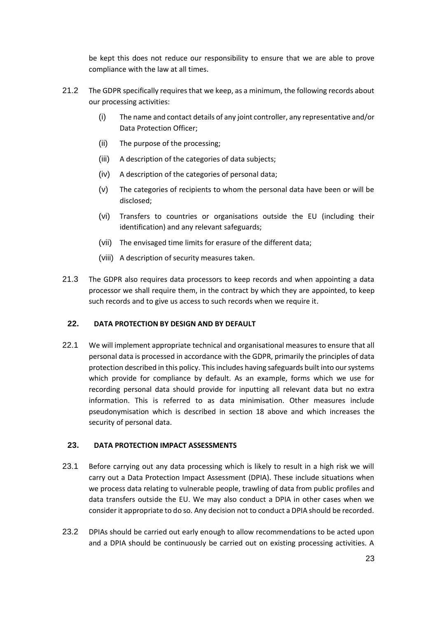be kept this does not reduce our responsibility to ensure that we are able to prove compliance with the law at all times.

- 21.2 The GDPR specifically requires that we keep, as a minimum, the following records about our processing activities:
	- (i) The name and contact details of any joint controller, any representative and/or Data Protection Officer;
	- (ii) The purpose of the processing;
	- (iii) A description of the categories of data subjects;
	- (iv) A description of the categories of personal data;
	- (v) The categories of recipients to whom the personal data have been or will be disclosed;
	- (vi) Transfers to countries or organisations outside the EU (including their identification) and any relevant safeguards;
	- (vii) The envisaged time limits for erasure of the different data;
	- (viii) A description of security measures taken.
- 21.3 The GDPR also requires data processors to keep records and when appointing a data processor we shall require them, in the contract by which they are appointed, to keep such records and to give us access to such records when we require it.

#### **22. DATA PROTECTION BY DESIGN AND BY DEFAULT**

22.1 We will implement appropriate technical and organisational measures to ensure that all personal data is processed in accordance with the GDPR, primarily the principles of data protection described in this policy. This includes having safeguards built into our systems which provide for compliance by default. As an example, forms which we use for recording personal data should provide for inputting all relevant data but no extra information. This is referred to as data minimisation. Other measures include pseudonymisation which is described in section [18](#page-17-0) above and which increases the security of personal data.

#### **23. DATA PROTECTION IMPACT ASSESSMENTS**

- 23.1 Before carrying out any data processing which is likely to result in a high risk we will carry out a Data Protection Impact Assessment (DPIA). These include situations when we process data relating to vulnerable people, trawling of data from public profiles and data transfers outside the EU. We may also conduct a DPIA in other cases when we consider it appropriate to do so. Any decision not to conduct a DPIA should be recorded.
- 23.2 DPIAs should be carried out early enough to allow recommendations to be acted upon and a DPIA should be continuously be carried out on existing processing activities. A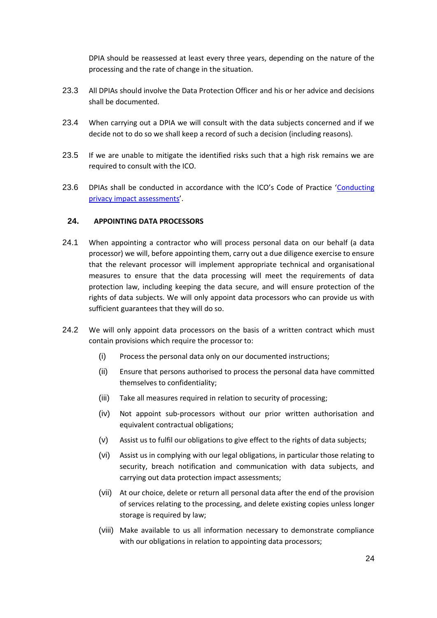DPIA should be reassessed at least every three years, depending on the nature of the processing and the rate of change in the situation.

- 23.3 All DPIAs should involve the Data Protection Officer and his or her advice and decisions shall be documented.
- 23.4 When carrying out a DPIA we will consult with the data subjects concerned and if we decide not to do so we shall keep a record of such a decision (including reasons).
- 23.5 If we are unable to mitigate the identified risks such that a high risk remains we are required to consult with the ICO.
- 23.6 DPIAs shall be conducted in accordance with the ICO's Code of Practice 'Conducting [privacy impact assessments](https://ico.org.uk/media/for-organisations/documents/1595/pia-code-of-practice.pdf)'.

# <span id="page-23-0"></span>**24. APPOINTING DATA PROCESSORS**

- <span id="page-23-2"></span>24.1 When appointing a contractor who will process personal data on our behalf (a data processor) we will, before appointing them, carry out a due diligence exercise to ensure that the relevant processor will implement appropriate technical and organisational measures to ensure that the data processing will meet the requirements of data protection law, including keeping the data secure, and will ensure protection of the rights of data subjects. We will only appoint data processors who can provide us with sufficient guarantees that they will do so.
- <span id="page-23-1"></span>24.2 We will only appoint data processors on the basis of a written contract which must contain provisions which require the processor to:
	- (i) Process the personal data only on our documented instructions;
	- (ii) Ensure that persons authorised to process the personal data have committed themselves to confidentiality;
	- (iii) Take all measures required in relation to security of processing;
	- (iv) Not appoint sub-processors without our prior written authorisation and equivalent contractual obligations;
	- (v) Assist us to fulfil our obligations to give effect to the rights of data subjects;
	- (vi) Assist us in complying with our legal obligations, in particular those relating to security, breach notification and communication with data subjects, and carrying out data protection impact assessments;
	- (vii) At our choice, delete or return all personal data after the end of the provision of services relating to the processing, and delete existing copies unless longer storage is required by law;
	- (viii) Make available to us all information necessary to demonstrate compliance with our obligations in relation to appointing data processors;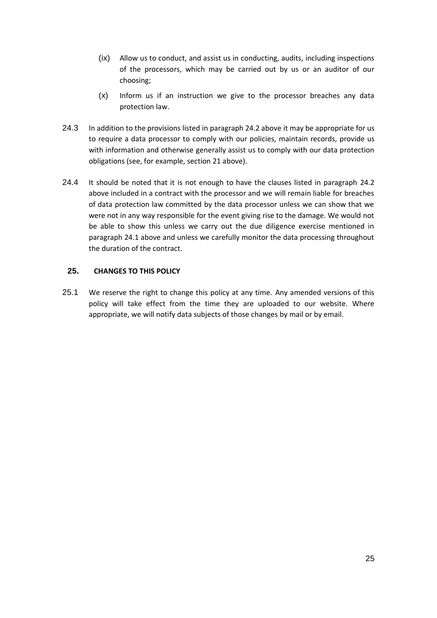- (ix) Allow us to conduct, and assist us in conducting, audits, including inspections of the processors, which may be carried out by us or an auditor of our choosing;
- (x) Inform us if an instruction we give to the processor breaches any data protection law.
- 24.3 In addition to the provisions listed in paragraph [24.2](#page-23-1) above it may be appropriate for us to require a data processor to comply with our policies, maintain records, provide us with information and otherwise generally assist us to comply with our data protection obligations (see, for example, section [21](#page-21-4) above).
- 24.4 It should be noted that it is not enough to have the clauses listed in paragraph [24.2](#page-23-1) above included in a contract with the processor and we will remain liable for breaches of data protection law committed by the data processor unless we can show that we were not in any way responsible for the event giving rise to the damage. We would not be able to show this unless we carry out the due diligence exercise mentioned in paragraph [24.1](#page-23-2) above and unless we carefully monitor the data processing throughout the duration of the contract.

## **25. CHANGES TO THIS POLICY**

25.1 We reserve the right to change this policy at any time. Any amended versions of this policy will take effect from the time they are uploaded to our website. Where appropriate, we will notify data subjects of those changes by mail or by email.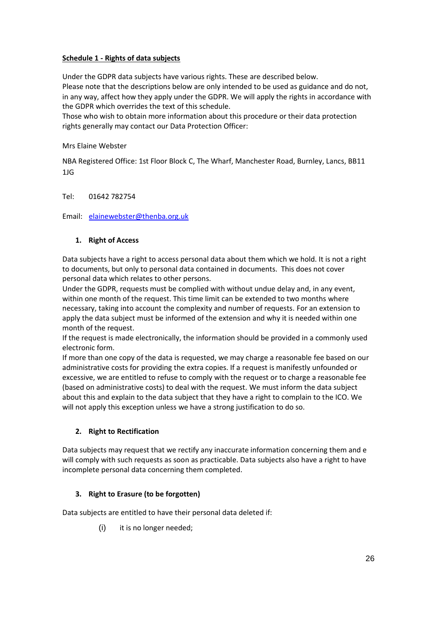### <span id="page-25-0"></span>**Schedule 1 - Rights of data subjects**

Under the GDPR data subjects have various rights. These are described below.

Please note that the descriptions below are only intended to be used as guidance and do not, in any way, affect how they apply under the GDPR. We will apply the rights in accordance with the GDPR which overrides the text of this schedule.

Those who wish to obtain more information about this procedure or their data protection rights generally may contact our Data Protection Officer:

### Mrs Elaine Webster

NBA Registered Office: 1st Floor Block C, The Wharf, Manchester Road, Burnley, Lancs, BB11 1JG

Tel: 01642 782754

Email: [elainewebster@thenba.org.uk](mailto:elainewebster@thenba.org.uk)

# **1. Right of Access**

Data subjects have a right to access personal data about them which we hold. It is not a right to documents, but only to personal data contained in documents. This does not cover personal data which relates to other persons.

Under the GDPR, requests must be complied with without undue delay and, in any event, within one month of the request. This time limit can be extended to two months where necessary, taking into account the complexity and number of requests. For an extension to apply the data subject must be informed of the extension and why it is needed within one month of the request.

If the request is made electronically, the information should be provided in a commonly used electronic form.

If more than one copy of the data is requested, we may charge a reasonable fee based on our administrative costs for providing the extra copies. If a request is manifestly unfounded or excessive, we are entitled to refuse to comply with the request or to charge a reasonable fee (based on administrative costs) to deal with the request. We must inform the data subject about this and explain to the data subject that they have a right to complain to the ICO. We will not apply this exception unless we have a strong justification to do so.

# **2. Right to Rectification**

Data subjects may request that we rectify any inaccurate information concerning them and e will comply with such requests as soon as practicable. Data subjects also have a right to have incomplete personal data concerning them completed.

# **3. Right to Erasure (to be forgotten)**

Data subjects are entitled to have their personal data deleted if:

(i) it is no longer needed;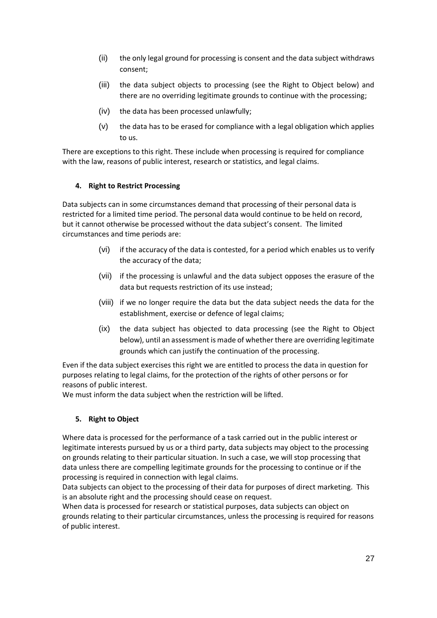- (ii) the only legal ground for processing is consent and the data subject withdraws consent;
- (iii) the data subject objects to processing (see the Right to Object below) and there are no overriding legitimate grounds to continue with the processing;
- (iv) the data has been processed unlawfully;
- (v) the data has to be erased for compliance with a legal obligation which applies to us.

There are exceptions to this right. These include when processing is required for compliance with the law, reasons of public interest, research or statistics, and legal claims.

### **4. Right to Restrict Processing**

Data subjects can in some circumstances demand that processing of their personal data is restricted for a limited time period. The personal data would continue to be held on record, but it cannot otherwise be processed without the data subject's consent. The limited circumstances and time periods are:

- (vi) if the accuracy of the data is contested, for a period which enables us to verify the accuracy of the data;
- (vii) if the processing is unlawful and the data subject opposes the erasure of the data but requests restriction of its use instead;
- (viii) if we no longer require the data but the data subject needs the data for the establishment, exercise or defence of legal claims;
- (ix) the data subject has objected to data processing (see the Right to Object below), until an assessment is made of whether there are overriding legitimate grounds which can justify the continuation of the processing.

Even if the data subject exercises this right we are entitled to process the data in question for purposes relating to legal claims, for the protection of the rights of other persons or for reasons of public interest.

We must inform the data subject when the restriction will be lifted.

# **5. Right to Object**

Where data is processed for the performance of a task carried out in the public interest or legitimate interests pursued by us or a third party, data subjects may object to the processing on grounds relating to their particular situation. In such a case, we will stop processing that data unless there are compelling legitimate grounds for the processing to continue or if the processing is required in connection with legal claims.

Data subjects can object to the processing of their data for purposes of direct marketing. This is an absolute right and the processing should cease on request.

When data is processed for research or statistical purposes, data subjects can object on grounds relating to their particular circumstances, unless the processing is required for reasons of public interest.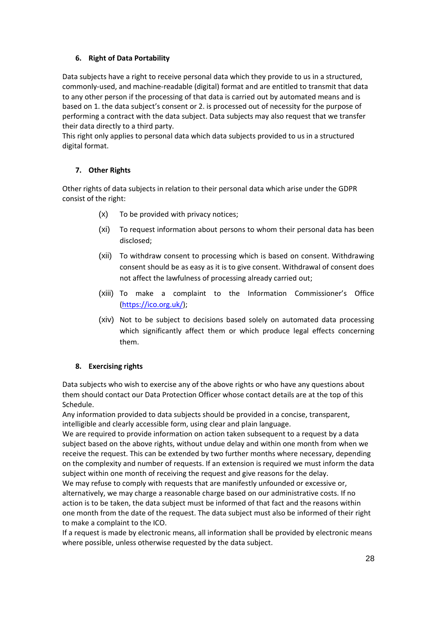# **6. Right of Data Portability**

Data subjects have a right to receive personal data which they provide to us in a structured, commonly-used, and machine-readable (digital) format and are entitled to transmit that data to any other person if the processing of that data is carried out by automated means and is based on 1. the data subject's consent or 2. is processed out of necessity for the purpose of performing a contract with the data subject. Data subjects may also request that we transfer their data directly to a third party.

This right only applies to personal data which data subjects provided to us in a structured digital format.

# **7. Other Rights**

Other rights of data subjects in relation to their personal data which arise under the GDPR consist of the right:

- (x) To be provided with privacy notices;
- (xi) To request information about persons to whom their personal data has been disclosed;
- (xii) To withdraw consent to processing which is based on consent. Withdrawing consent should be as easy as it is to give consent. Withdrawal of consent does not affect the lawfulness of processing already carried out;
- (xiii) To make a complaint to the Information Commissioner's Office [\(https://ico.org.uk/\)](https://ico.org.uk/);
- (xiv) Not to be subject to decisions based solely on automated data processing which significantly affect them or which produce legal effects concerning them.

### **8. Exercising rights**

Data subjects who wish to exercise any of the above rights or who have any questions about them should contact our Data Protection Officer whose contact details are at the top of this Schedule.

Any information provided to data subjects should be provided in a concise, transparent, intelligible and clearly accessible form, using clear and plain language.

We are required to provide information on action taken subsequent to a request by a data subject based on the above rights, without undue delay and within one month from when we receive the request. This can be extended by two further months where necessary, depending on the complexity and number of requests. If an extension is required we must inform the data subject within one month of receiving the request and give reasons for the delay.

We may refuse to comply with requests that are manifestly unfounded or excessive or, alternatively, we may charge a reasonable charge based on our administrative costs. If no action is to be taken, the data subject must be informed of that fact and the reasons within one month from the date of the request. The data subject must also be informed of their right to make a complaint to the ICO.

If a request is made by electronic means, all information shall be provided by electronic means where possible, unless otherwise requested by the data subject.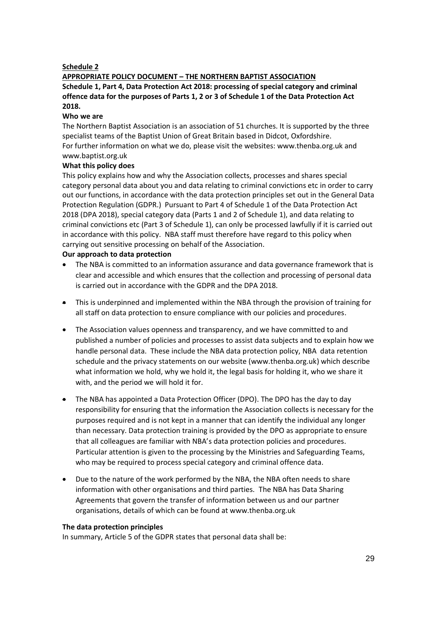#### **Schedule 2**

#### **APPROPRIATE POLICY DOCUMENT – THE NORTHERN BAPTIST ASSOCIATION Schedule 1, Part 4, Data Protection Act 2018: processing of special category and criminal offence data for the purposes of Parts 1, 2 or 3 of Schedule 1 of the Data Protection Act 2018.**

#### **Who we are**

The Northern Baptist Association is an association of 51 churches. It is supported by the three specialist teams of the Baptist Union of Great Britain based in Didcot, Oxfordshire. For further information on what we do, please visit the websites: www.thenba.org.uk and www.baptist.org.uk

#### **What this policy does**

This policy explains how and why the Association collects, processes and shares special category personal data about you and data relating to criminal convictions etc in order to carry out our functions, in accordance with the data protection principles set out in the General Data Protection Regulation (GDPR.) Pursuant to Part 4 of Schedule 1 of the Data Protection Act 2018 (DPA 2018), special category data (Parts 1 and 2 of Schedule 1), and data relating to criminal convictions etc (Part 3 of Schedule 1), can only be processed lawfully if it is carried out in accordance with this policy. NBA staff must therefore have regard to this policy when carrying out sensitive processing on behalf of the Association.

#### **Our approach to data protection**

- The NBA is committed to an information assurance and data governance framework that is clear and accessible and which ensures that the collection and processing of personal data is carried out in accordance with the GDPR and the DPA 2018.
- This is underpinned and implemented within the NBA through the provision of training for all staff on data protection to ensure compliance with our policies and procedures.
- The Association values openness and transparency, and we have committed to and published a number of policies and processes to assist data subjects and to explain how we handle personal data. These include the NBA data protection policy, NBA data retention schedule and the privacy statements on our website (www.thenba.org.uk) which describe what information we hold, why we hold it, the legal basis for holding it, who we share it with, and the period we will hold it for.
- The NBA has appointed a Data Protection Officer (DPO). The DPO has the day to day responsibility for ensuring that the information the Association collects is necessary for the purposes required and is not kept in a manner that can identify the individual any longer than necessary. Data protection training is provided by the DPO as appropriate to ensure that all colleagues are familiar with NBA's data protection policies and procedures. Particular attention is given to the processing by the Ministries and Safeguarding Teams, who may be required to process special category and criminal offence data.
- Due to the nature of the work performed by the NBA, the NBA often needs to share information with other organisations and third parties. The NBA has Data Sharing Agreements that govern the transfer of information between us and our partner organisations, details of which can be found at www.thenba.org.uk

#### **The data protection principles**

In summary, Article 5 of the GDPR states that personal data shall be: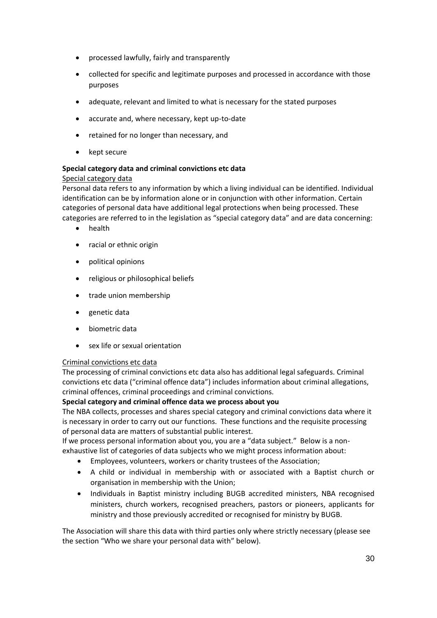- processed lawfully, fairly and transparently
- collected for specific and legitimate purposes and processed in accordance with those purposes
- adequate, relevant and limited to what is necessary for the stated purposes
- accurate and, where necessary, kept up-to-date
- retained for no longer than necessary, and
- kept secure

# **Special category data and criminal convictions etc data**

#### Special category data

Personal data refers to any information by which a living individual can be identified. Individual identification can be by information alone or in conjunction with other information. Certain categories of personal data have additional legal protections when being processed. These categories are referred to in the legislation as "special category data" and are data concerning:

- health
- racial or ethnic origin
- political opinions
- religious or philosophical beliefs
- trade union membership
- genetic data
- biometric data
- sex life or sexual orientation

### Criminal convictions etc data

The processing of criminal convictions etc data also has additional legal safeguards. Criminal convictions etc data ("criminal offence data") includes information about criminal allegations, criminal offences, criminal proceedings and criminal convictions.

### **Special category and criminal offence data we process about you**

The NBA collects, processes and shares special category and criminal convictions data where it is necessary in order to carry out our functions. These functions and the requisite processing of personal data are matters of substantial public interest.

If we process personal information about you, you are a "data subject." Below is a nonexhaustive list of categories of data subjects who we might process information about:

- Employees, volunteers, workers or charity trustees of the Association;
- A child or individual in membership with or associated with a Baptist church or organisation in membership with the Union;
- Individuals in Baptist ministry including BUGB accredited ministers, NBA recognised ministers, church workers, recognised preachers, pastors or pioneers, applicants for ministry and those previously accredited or recognised for ministry by BUGB.

The Association will share this data with third parties only where strictly necessary (please see the section "Who we share your personal data with" below).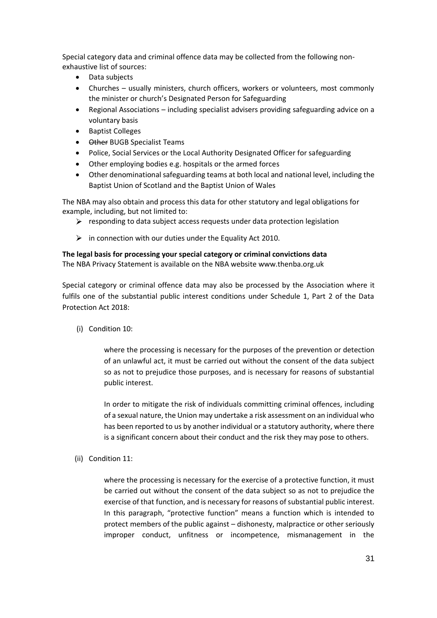Special category data and criminal offence data may be collected from the following nonexhaustive list of sources:

- Data subjects
- Churches usually ministers, church officers, workers or volunteers, most commonly the minister or church's Designated Person for Safeguarding
- Regional Associations including specialist advisers providing safeguarding advice on a voluntary basis
- Baptist Colleges
- Other BUGB Specialist Teams
- Police, Social Services or the Local Authority Designated Officer for safeguarding
- Other employing bodies e.g. hospitals or the armed forces
- Other denominational safeguarding teams at both local and national level, including the Baptist Union of Scotland and the Baptist Union of Wales

The NBA may also obtain and process this data for other statutory and legal obligations for example, including, but not limited to:

- $\triangleright$  responding to data subject access requests under data protection legislation
- $\triangleright$  in connection with our duties under the Equality Act 2010.

#### **The legal basis for processing your special category or criminal convictions data**  The NBA Privacy Statement is available on the NBA website www.thenba.org.uk

Special category or criminal offence data may also be processed by the Association where it fulfils one of the substantial public interest conditions under Schedule 1, Part 2 of the Data Protection Act 2018:

(i) Condition 10:

where the processing is necessary for the purposes of the prevention or detection of an unlawful act, it must be carried out without the consent of the data subject so as not to prejudice those purposes, and is necessary for reasons of substantial public interest.

In order to mitigate the risk of individuals committing criminal offences, including of a sexual nature, the Union may undertake a risk assessment on an individual who has been reported to us by another individual or a statutory authority, where there is a significant concern about their conduct and the risk they may pose to others.

(ii) Condition 11:

where the processing is necessary for the exercise of a protective function, it must be carried out without the consent of the data subject so as not to prejudice the exercise of that function, and is necessary for reasons of substantial public interest. In this paragraph, "protective function" means a function which is intended to protect members of the public against – dishonesty, malpractice or other seriously improper conduct, unfitness or incompetence, mismanagement in the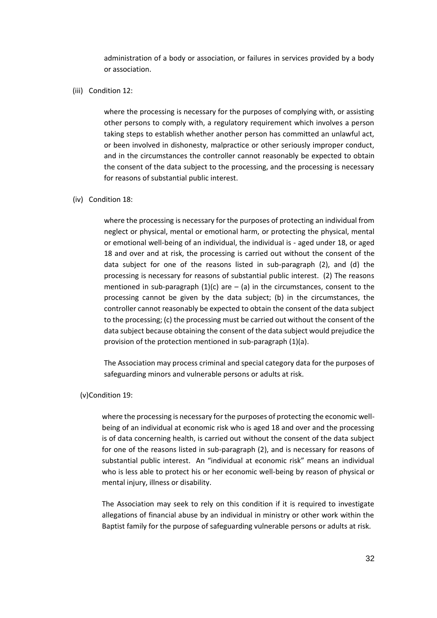administration of a body or association, or failures in services provided by a body or association.

(iii) Condition 12:

where the processing is necessary for the purposes of complying with, or assisting other persons to comply with, a regulatory requirement which involves a person taking steps to establish whether another person has committed an unlawful act, or been involved in dishonesty, malpractice or other seriously improper conduct, and in the circumstances the controller cannot reasonably be expected to obtain the consent of the data subject to the processing, and the processing is necessary for reasons of substantial public interest.

#### (iv) Condition 18:

where the processing is necessary for the purposes of protecting an individual from neglect or physical, mental or emotional harm, or protecting the physical, mental or emotional well-being of an individual, the individual is - aged under 18, or aged 18 and over and at risk, the processing is carried out without the consent of the data subject for one of the reasons listed in sub-paragraph (2), and (d) the processing is necessary for reasons of substantial public interest. (2) The reasons mentioned in sub-paragraph  $(1)(c)$  are  $-$  (a) in the circumstances, consent to the processing cannot be given by the data subject; (b) in the circumstances, the controller cannot reasonably be expected to obtain the consent of the data subject to the processing; (c) the processing must be carried out without the consent of the data subject because obtaining the consent of the data subject would prejudice the provision of the protection mentioned in sub-paragraph (1)(a).

The Association may process criminal and special category data for the purposes of safeguarding minors and vulnerable persons or adults at risk.

#### (v)Condition 19:

where the processing is necessary for the purposes of protecting the economic wellbeing of an individual at economic risk who is aged 18 and over and the processing is of data concerning health, is carried out without the consent of the data subject for one of the reasons listed in sub-paragraph (2), and is necessary for reasons of substantial public interest. An "individual at economic risk" means an individual who is less able to protect his or her economic well-being by reason of physical or mental injury, illness or disability.

The Association may seek to rely on this condition if it is required to investigate allegations of financial abuse by an individual in ministry or other work within the Baptist family for the purpose of safeguarding vulnerable persons or adults at risk.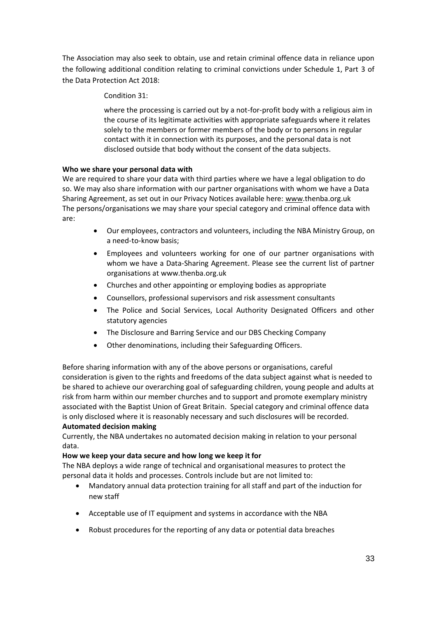The Association may also seek to obtain, use and retain criminal offence data in reliance upon the following additional condition relating to criminal convictions under Schedule 1, Part 3 of the Data Protection Act 2018:

### Condition 31:

where the processing is carried out by a not-for-profit body with a religious aim in the course of its legitimate activities with appropriate safeguards where it relates solely to the members or former members of the body or to persons in regular contact with it in connection with its purposes, and the personal data is not disclosed outside that body without the consent of the data subjects.

### **Who we share your personal data with**

We are required to share your data with third parties where we have a legal obligation to do so. We may also share information with our partner organisations with whom we have a Data Sharing Agreement, as set out in our Privacy Notices available here: [www.](http://www.baptist.org.uk/privacy)thenba.org.uk The persons/organisations we may share your special category and criminal offence data with are:

- Our employees, contractors and volunteers, including the NBA Ministry Group, on a need-to-know basis;
- Employees and volunteers working for one of our partner organisations with whom we have a Data-Sharing Agreement. Please see the current list of partner organisations at www.thenba.org.uk
- Churches and other appointing or employing bodies as appropriate
- Counsellors, professional supervisors and risk assessment consultants
- The Police and Social Services, Local Authority Designated Officers and other statutory agencies
- The Disclosure and Barring Service and our DBS Checking Company
- Other denominations, including their Safeguarding Officers.

Before sharing information with any of the above persons or organisations, careful consideration is given to the rights and freedoms of the data subject against what is needed to be shared to achieve our overarching goal of safeguarding children, young people and adults at risk from harm within our member churches and to support and promote exemplary ministry associated with the Baptist Union of Great Britain. Special category and criminal offence data is only disclosed where it is reasonably necessary and such disclosures will be recorded.

### **Automated decision making**

Currently, the NBA undertakes no automated decision making in relation to your personal data.

### **How we keep your data secure and how long we keep it for**

The NBA deploys a wide range of technical and organisational measures to protect the personal data it holds and processes. Controls include but are not limited to:

- Mandatory annual data protection training for all staff and part of the induction for new staff
- Acceptable use of IT equipment and systems in accordance with the NBA
- Robust procedures for the reporting of any data or potential data breaches